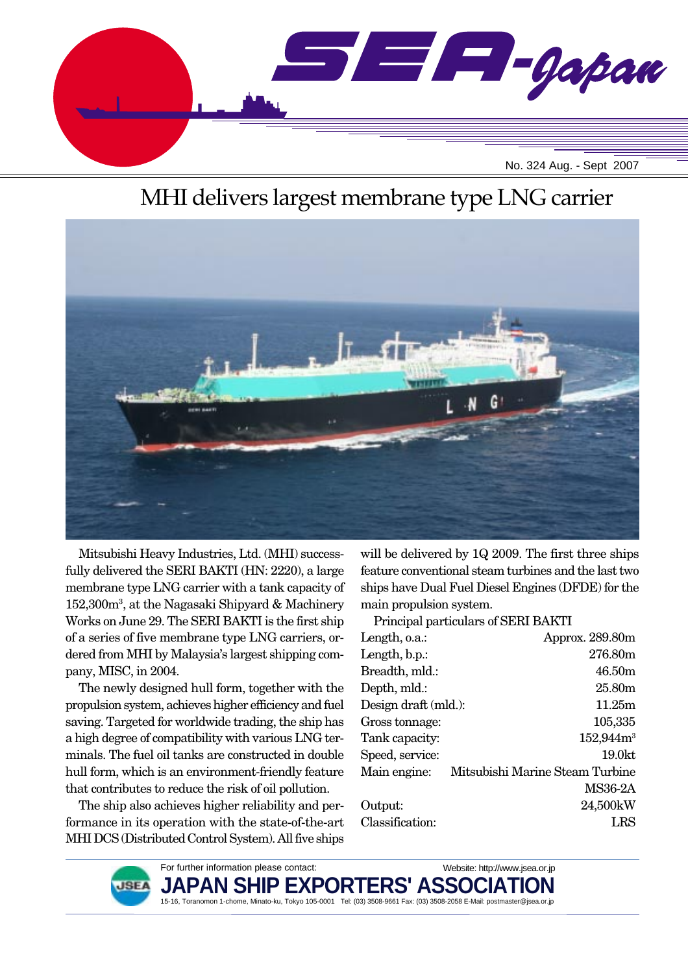

# MHI delivers largest membrane type LNG carrier



Mitsubishi Heavy Industries, Ltd. (MHI) successfully delivered the SERI BAKTI (HN: 2220), a large membrane type LNG carrier with a tank capacity of 152,300m3 , at the Nagasaki Shipyard & Machinery Works on June 29. The SERI BAKTI is the first ship of a series of five membrane type LNG carriers, ordered from MHI by Malaysia's largest shipping company, MISC, in 2004.

The newly designed hull form, together with the propulsion system, achieves higher efficiency and fuel saving. Targeted for worldwide trading, the ship has a high degree of compatibility with various LNG terminals. The fuel oil tanks are constructed in double hull form, which is an environment-friendly feature that contributes to reduce the risk of oil pollution.

The ship also achieves higher reliability and performance in its operation with the state-of-the-art MHI DCS (Distributed Control System). All five ships will be delivered by 1Q 2009. The first three ships feature conventional steam turbines and the last two ships have Dual Fuel Diesel Engines (DFDE) for the main propulsion system.

Principal particulars of SERI BAKTI Length, o.a.: Approx. 289.80m Length, b.p.: 276.80m Breadth, mld.: 46.50m Depth, mld.: 25.80m Design draft (mld.): 11.25m Gross tonnage:  $105,335$ Tank capacity: 152,944m<sup>3</sup> Speed, service: 19.0kt Main engine: Mitsubishi Marine Steam Turbine MS36-2A Output: 24,500kW Classification: LRS



For further information please contact: **JAPAN SHIP EXF** 15-16, Toranomon 1-chome, Minato-ku, Tokyo 105-0001 Tel: (03) 3508-9661 Fax: (03) 3508-2058 E-Mail: postmaster@jsea.or.jp Website: http://www.jsea.or.jp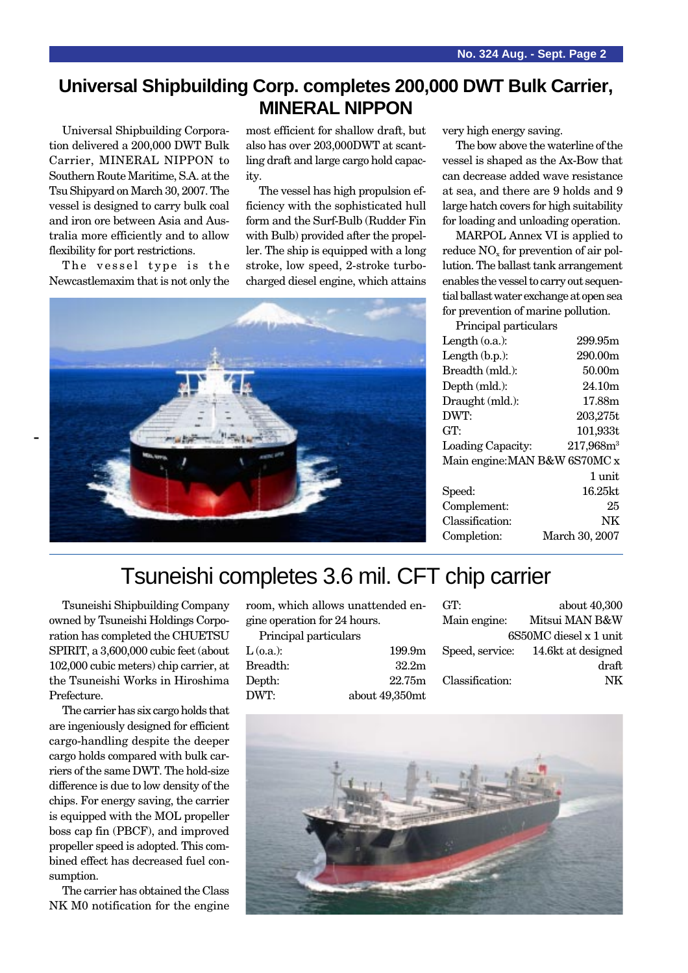#### **Universal Shipbuilding Corp. completes 200,000 DWT Bulk Carrier, MINERAL NIPPON**

Universal Shipbuilding Corporation delivered a 200,000 DWT Bulk Carrier, MINERAL NIPPON to Southern Route Maritime, S.A. at the Tsu Shipyard on March 30, 2007. The vessel is designed to carry bulk coal and iron ore between Asia and Australia more efficiently and to allow flexibility for port restrictions.

The vessel type is the Newcastlemaxim that is not only the

most efficient for shallow draft, but also has over 203,000DWT at scantling draft and large cargo hold capacity.

The vessel has high propulsion efficiency with the sophisticated hull form and the Surf-Bulb (Rudder Fin with Bulb) provided after the propeller. The ship is equipped with a long stroke, low speed, 2-stroke turbocharged diesel engine, which attains



very high energy saving.

The bow above the waterline of the vessel is shaped as the Ax-Bow that can decrease added wave resistance at sea, and there are 9 holds and 9 large hatch covers for high suitability for loading and unloading operation.

MARPOL Annex VI is applied to reduce NO<sub>y</sub> for prevention of air pollution. The ballast tank arrangement enables the vessel to carry out sequential ballast water exchange at open sea for prevention of marine pollution.

| Principal particulars         |
|-------------------------------|
| 299.95m                       |
| 290.00m                       |
| 50.00m                        |
| 24.10m                        |
| 17.88m                        |
| 203,275t                      |
| 101,933t                      |
| $217,968m^3$                  |
| Main engine: MAN B&W 6S70MC x |
| 1 unit                        |
| $16.25$ kt.                   |
| 25                            |
| NK                            |
| March 30, 2007                |
|                               |

## Tsuneishi completes 3.6 mil. CFT chip carrier

Tsuneishi Shipbuilding Company owned by Tsuneishi Holdings Corporation has completed the CHUETSU SPIRIT, a 3,600,000 cubic feet (about 102,000 cubic meters) chip carrier, at the Tsuneishi Works in Hiroshima Prefecture.

The carrier has six cargo holds that are ingeniously designed for efficient cargo-handling despite the deeper cargo holds compared with bulk carriers of the same DWT. The hold-size difference is due to low density of the chips. For energy saving, the carrier is equipped with the MOL propeller boss cap fin (PBCF), and improved propeller speed is adopted. This combined effect has decreased fuel consumption.

The carrier has obtained the Class NK M0 notification for the engine room, which allows unattended engine operation for 24 hours. Principal particulars

| TTIMURAI RAFUUULAI S |                    |
|----------------------|--------------------|
| $L$ (o.a.):          | 199.9 <sub>m</sub> |
| Breadth:             | 32.2 <sub>m</sub>  |
| Depth:               | 22.75m             |
| DWT:                 | about 49,350mt     |
|                      |                    |

| GT:             | about 40,300                       |
|-----------------|------------------------------------|
|                 | Main engine: Mitsui MAN B&W        |
|                 | 6S50MC diesel x 1 unit             |
|                 | Speed, service: 14.6kt at designed |
|                 | draft                              |
| Classification: | NK                                 |
|                 |                                    |

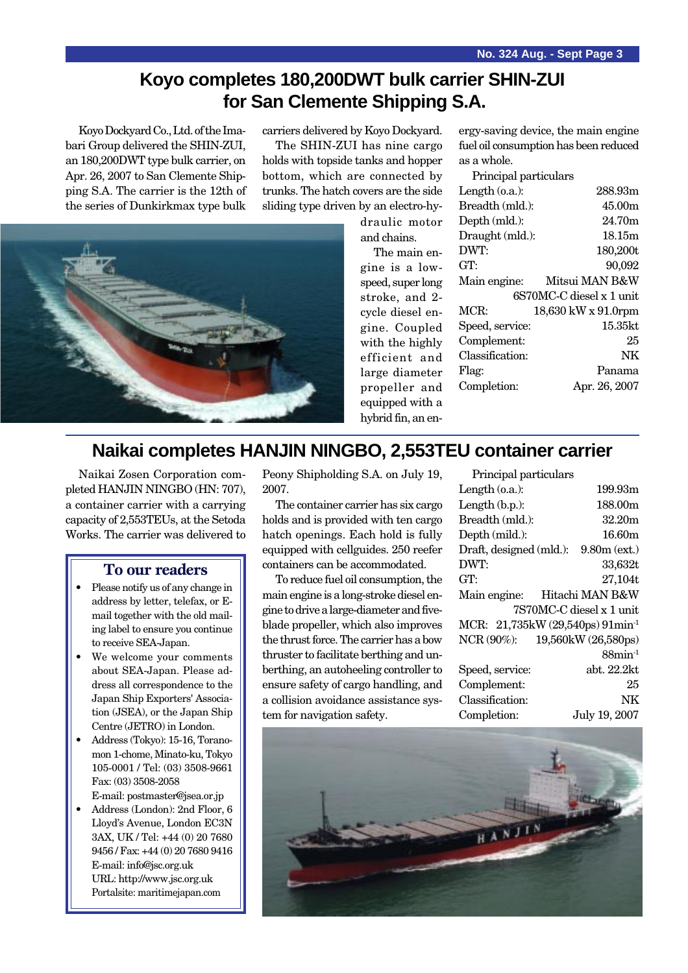#### **Koyo completes 180,200DWT bulk carrier SHIN-ZUI for San Clemente Shipping S.A.**

Koyo Dockyard Co., Ltd. of the Imabari Group delivered the SHIN-ZUI, an 180,200DWT type bulk carrier, on Apr. 26, 2007 to San Clemente Shipping S.A. The carrier is the 12th of the series of Dunkirkmax type bulk

carriers delivered by Koyo Dockyard.

The SHIN-ZUI has nine cargo holds with topside tanks and hopper bottom, which are connected by trunks. The hatch covers are the side sliding type driven by an electro-hy-



draulic motor and chains.

The main engine is a lowspeed, super long stroke, and 2 cycle diesel engine. Coupled with the highly efficient and large diameter propeller and equipped with a hybrid fin, an en-

| ergy-saving device, the main engine   |
|---------------------------------------|
| fuel oil consumption has been reduced |
| as a whole.                           |
| $D_{\text{min}}$ and now inclose      |

| r rintipar partitulars |                          |
|------------------------|--------------------------|
| Length $(0.a.)$ :      | 288.93m                  |
| Breadth (mld.):        | 45.00m                   |
| Depth (mld.):          | 24.70m                   |
| Draught (mld.):        | 18.15m                   |
| DWT:                   | 180,200t                 |
| GT:                    | 90,092                   |
| Main engine:           | Mitsui MAN B&W           |
|                        | 6S70MC-C diesel x 1 unit |
| MCR:                   | 18,630 kW x 91.0rpm      |
| Speed, service:        | 15.35kt                  |
| Complement:            | 25                       |
| Classification:        | NΚ                       |
| Flag:                  | Panama                   |
| Completion:            | Apr. 26, 2007            |
|                        |                          |

#### **Naikai completes HANJIN NINGBO, 2,553TEU container carrier**

Naikai Zosen Corporation completed HANJIN NINGBO (HN: 707), a container carrier with a carrying capacity of 2,553TEUs, at the Setoda Works. The carrier was delivered to

#### **To our readers**

- Please notify us of any change in address by letter, telefax, or Email together with the old mailing label to ensure you continue to receive SEA-Japan.
- We welcome your comments about SEA-Japan. Please address all correspondence to the Japan Ship Exporters' Association (JSEA), or the Japan Ship Centre (JETRO) in London.
- Address (Tokyo): 15-16, Toranomon 1-chome, Minato-ku, Tokyo 105-0001 / Tel: (03) 3508-9661 Fax: (03) 3508-2058
- E-mail: postmaster@jsea.or.jp • Address (London): 2nd Floor, 6 Lloyd's Avenue, London EC3N 3AX, UK / Tel: +44 (0) 20 7680 9456 / Fax: +44 (0) 20 7680 9416 E-mail: info@jsc.org.uk URL: http://www.jsc.org.uk Portalsite: maritimejapan.com

Peony Shipholding S.A. on July 19, 2007.

The container carrier has six cargo holds and is provided with ten cargo hatch openings. Each hold is fully equipped with cellguides. 250 reefer containers can be accommodated.

To reduce fuel oil consumption, the main engine is a long-stroke diesel engine to drive a large-diameter and fiveblade propeller, which also improves the thrust force. The carrier has a bow thruster to facilitate berthing and unberthing, an autoheeling controller to ensure safety of cargo handling, and a collision avoidance assistance system for navigation safety.

| Principal particulars   |                                              |
|-------------------------|----------------------------------------------|
| Length $(o.a.)$ :       | 199.93m                                      |
| Length $(b.p.):$        | 188.00 <sub>m</sub>                          |
| Breadth (mld.):         | 32.20m                                       |
| Depth (mild.):          | 16.60m                                       |
| Draft, designed (mld.): | $9.80m$ (ext.)                               |
| DWT:                    | 33,632t                                      |
| GT:                     | 27,104t                                      |
| Main engine:            | Hitachi MAN B&W                              |
|                         | 7S70MC-C diesel x 1 unit                     |
|                         | MCR: 21,735kW (29,540ps) 91min <sup>-1</sup> |
| NCR (90%):              | 19,560kW (26,580ps)                          |
|                         | $88$ min <sup>-1</sup>                       |
| Speed, service:         | abt. 22.2kt                                  |
| Complement:             | 25                                           |
| Classification:         | NK                                           |
| Completion:             | July 19, 2007                                |

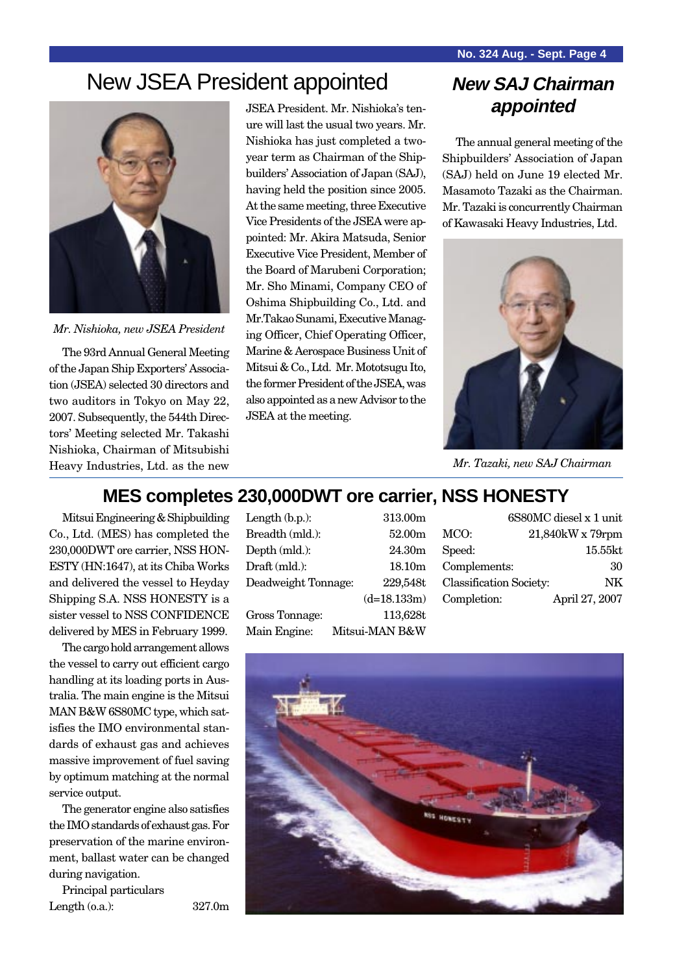## New JSEA President appointed **New SAJ Chairman**



*Mr. Nishioka, new JSEA President*

The 93rd Annual General Meeting of the Japan Ship Exporters' Association (JSEA) selected 30 directors and two auditors in Tokyo on May 22, 2007. Subsequently, the 544th Directors' Meeting selected Mr. Takashi Nishioka, Chairman of Mitsubishi Heavy Industries, Ltd. as the new

JSEA President. Mr. Nishioka's tenure will last the usual two years. Mr. Nishioka has just completed a twoyear term as Chairman of the Shipbuilders' Association of Japan (SAJ), having held the position since 2005. At the same meeting, three Executive Vice Presidents of the JSEA were appointed: Mr. Akira Matsuda, Senior Executive Vice President, Member of the Board of Marubeni Corporation; Mr. Sho Minami, Company CEO of Oshima Shipbuilding Co., Ltd. and Mr.Takao Sunami, Executive Managing Officer, Chief Operating Officer, Marine & Aerospace Business Unit of Mitsui & Co., Ltd. Mr. Mototsugu Ito, the former President of the JSEA, was also appointed as a new Advisor to the JSEA at the meeting.

# **appointed**

The annual general meeting of the Shipbuilders' Association of Japan (SAJ) held on June 19 elected Mr. Masamoto Tazaki as the Chairman. Mr. Tazaki is concurrently Chairman of Kawasaki Heavy Industries, Ltd.



*Mr. Tazaki, new SAJ Chairman*

#### **MES completes 230,000DWT ore carrier, NSS HONESTY**

Mitsui Engineering & Shipbuilding Co., Ltd. (MES) has completed the 230,000DWT ore carrier, NSS HON-ESTY (HN:1647), at its Chiba Works and delivered the vessel to Heyday Shipping S.A. NSS HONESTY is a sister vessel to NSS CONFIDENCE delivered by MES in February 1999.

The cargo hold arrangement allows the vessel to carry out efficient cargo handling at its loading ports in Australia. The main engine is the Mitsui MAN B&W 6S80MC type, which satisfies the IMO environmental standards of exhaust gas and achieves massive improvement of fuel saving by optimum matching at the normal service output.

The generator engine also satisfies the IMO standards of exhaust gas. For preservation of the marine environment, ballast water can be changed during navigation.

Principal particulars Length (o.a.): 327.0m Length (b.p.): 313.00m Breadth (mld.): 52.00m Depth (mld.): 24.30m Draft (mld.): 18.10m Deadweight Tonnage: 229,548t (d=18.133m) Gross Tonnage: 113,628t Main Engine: Mitsui-MAN B&W

|                         | 6S80MC diesel x 1 unit |
|-------------------------|------------------------|
| MCO:                    | 21,840kW x 79rpm       |
| Speed:                  | $15.55$ kt             |
| Complements:            | 30                     |
| Classification Society: | NΚ                     |
| Completion:             | April 27, 2007         |
|                         |                        |

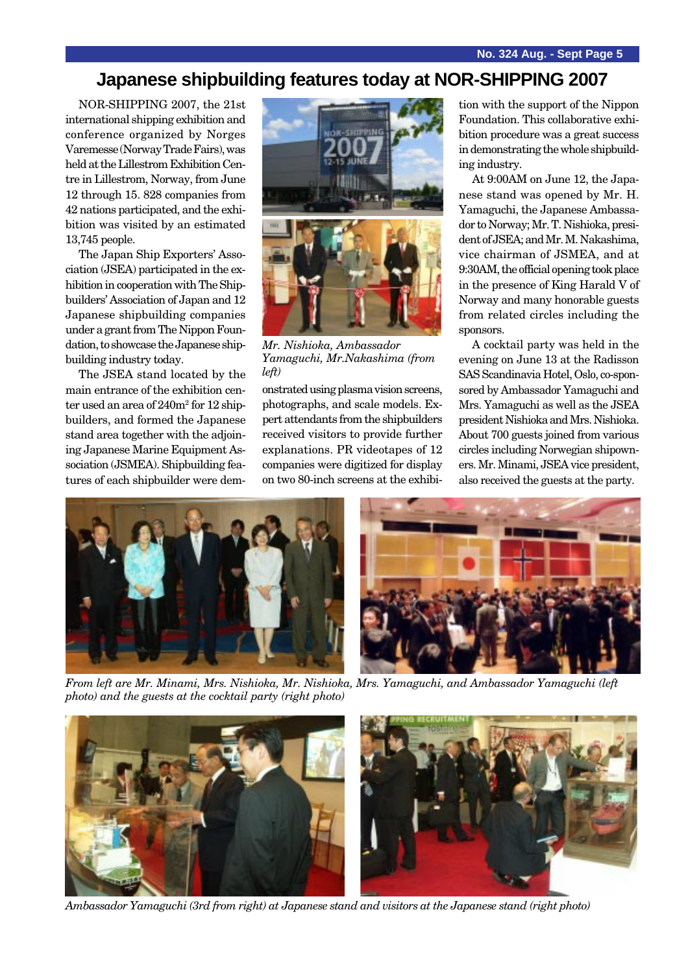#### **Japanese shipbuilding features today at NOR-SHIPPING 2007**

NOR-SHIPPING 2007, the 21st international shipping exhibition and conference organized by Norges Varemesse (Norway Trade Fairs), was held at the Lillestrom Exhibition Centre in Lillestrom, Norway, from June 12 through 15. 828 companies from 42 nations participated, and the exhibition was visited by an estimated 13,745 people.

The Japan Ship Exporters' Association (JSEA) participated in the exhibition in cooperation with The Shipbuilders' Association of Japan and 12 Japanese shipbuilding companies under a grant from The Nippon Foundation, to showcase the Japanese shipbuilding industry today.

The JSEA stand located by the main entrance of the exhibition center used an area of  $240m^2$  for  $12 \text{ ship}$ builders, and formed the Japanese stand area together with the adjoining Japanese Marine Equipment Association (JSMEA). Shipbuilding features of each shipbuilder were dem-



*Mr. Nishioka, Ambassador Yamaguchi, Mr.Nakashima (from left)*

onstrated using plasma vision screens, photographs, and scale models. Expert attendants from the shipbuilders received visitors to provide further explanations. PR videotapes of 12 companies were digitized for display on two 80-inch screens at the exhibition with the support of the Nippon Foundation. This collaborative exhibition procedure was a great success in demonstrating the whole shipbuilding industry.

At 9:00AM on June 12, the Japanese stand was opened by Mr. H. Yamaguchi, the Japanese Ambassador to Norway; Mr. T. Nishioka, president of JSEA; and Mr. M. Nakashima, vice chairman of JSMEA, and at 9:30AM, the official opening took place in the presence of King Harald V of Norway and many honorable guests from related circles including the sponsors.

A cocktail party was held in the evening on June 13 at the Radisson SAS Scandinavia Hotel, Oslo, co-sponsored by Ambassador Yamaguchi and Mrs. Yamaguchi as well as the JSEA president Nishioka and Mrs. Nishioka. About 700 guests joined from various circles including Norwegian shipowners. Mr. Minami, JSEA vice president, also received the guests at the party.



*From left are Mr. Minami, Mrs. Nishioka, Mr. Nishioka, Mrs. Yamaguchi, and Ambassador Yamaguchi (left photo) and the guests at the cocktail party (right photo)*



*Ambassador Yamaguchi (3rd from right) at Japanese stand and visitors at the Japanese stand (right photo)*